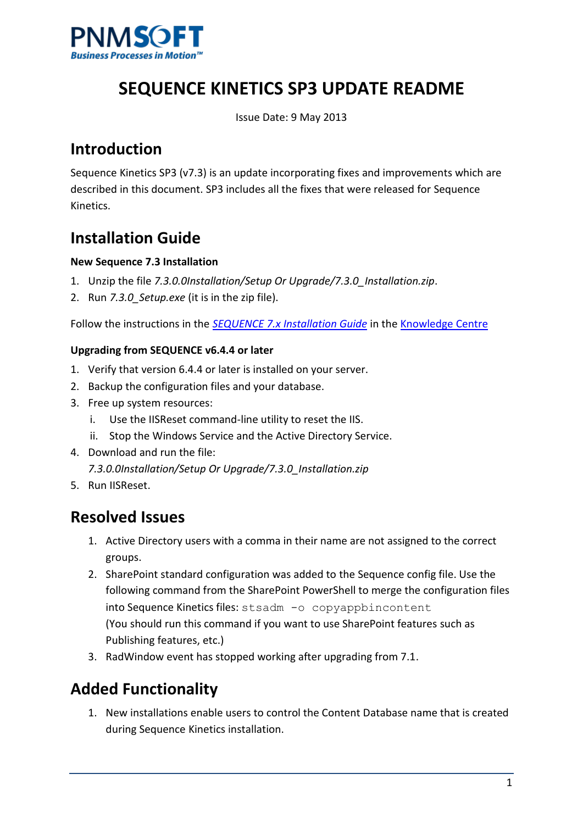

# **SEQUENCE KINETICS SP3 UPDATE README**

Issue Date: 9 May 2013

## **Introduction**

Sequence Kinetics SP3 (v7.3) is an update incorporating fixes and improvements which are described in this document. SP3 includes all the fixes that were released for Sequence Kinetics.

## **Installation Guide**

### **New Sequence 7.3 Installation**

- 1. Unzip the file *7.3.0.0Installation/Setup Or Upgrade/7.3.0\_Installation.zip*.
- 2. Run *7.3.0\_Setup.exe* (it is in the zip file).

Follow the instructions in the *SEQUENCE 7.x [Installation Guide](http://members.pnmsoft.com/Online%20Help/SEQUENCE%207%20Documents/SEQUENCE%207.x%20Installation%20Guide.pdf)* in th[e Knowledge Centre](http://members.pnmsoft.com/)

### **Upgrading from SEQUENCE v6.4.4 or later**

- 1. Verify that version 6.4.4 or later is installed on your server.
- 2. Backup the configuration files and your database.
- 3. Free up system resources:
	- i. Use the IISReset command-line utility to reset the IIS.
	- ii. Stop the Windows Service and the Active Directory Service.
- 4. Download and run the file:
	- *7.3.0.0Installation/Setup Or Upgrade/7.3.0\_Installation.zip*
- 5. Run IISReset.

### **Resolved Issues**

- 1. Active Directory users with a comma in their name are not assigned to the correct groups.
- 2. SharePoint standard configuration was added to the Sequence config file. Use the following command from the SharePoint PowerShell to merge the configuration files into Sequence Kinetics files: stsadm -o copyappbincontent (You should run this command if you want to use SharePoint features such as Publishing features, etc.)
- 3. RadWindow event has stopped working after upgrading from 7.1.

## **Added Functionality**

1. New installations enable users to control the Content Database name that is created during Sequence Kinetics installation.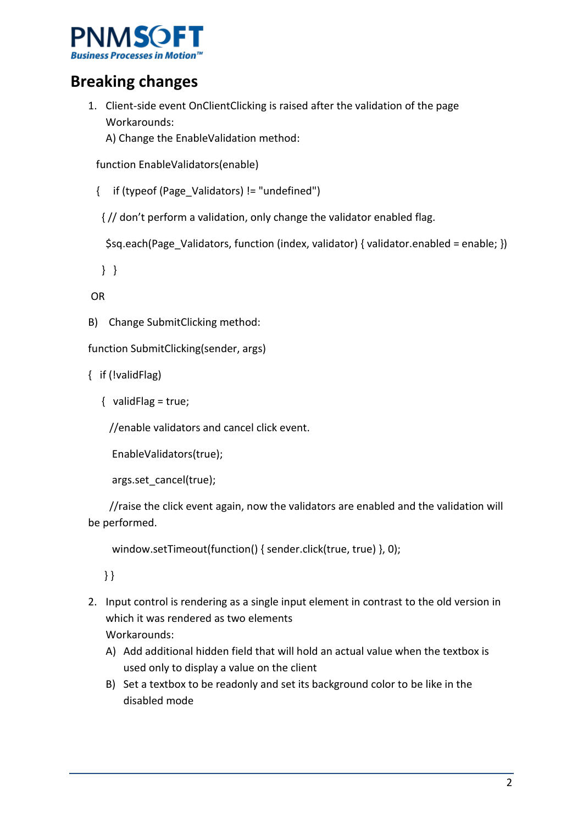

## **Breaking changes**

1. Client-side event OnClientClicking is raised after the validation of the page Workarounds:

A) Change the EnableValidation method:

function EnableValidators(enable)

{ if (typeof (Page\_Validators) != "undefined")

{ // don't perform a validation, only change the validator enabled flag.

\$sq.each(Page\_Validators, function (index, validator) { validator.enabled = enable; })

} }

OR

B) Change SubmitClicking method:

function SubmitClicking(sender, args)

{ if (!validFlag)

{ validFlag = true;

//enable validators and cancel click event.

EnableValidators(true);

args.set\_cancel(true);

 //raise the click event again, now the validators are enabled and the validation will be performed.

window.setTimeout(function() { sender.click(true, true) }, 0);

} }

- 2. Input control is rendering as a single input element in contrast to the old version in which it was rendered as two elements Workarounds:
	- A) Add additional hidden field that will hold an actual value when the textbox is used only to display a value on the client
	- B) Set a textbox to be readonly and set its background color to be like in the disabled mode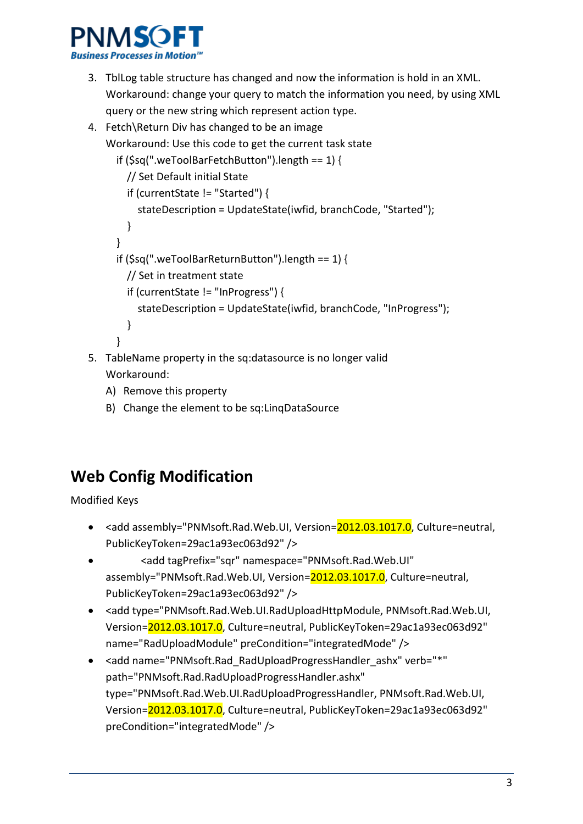

- 3. TblLog table structure has changed and now the information is hold in an XML. Workaround: change your query to match the information you need, by using XML query or the new string which represent action type.
- 4. Fetch\Return Div has changed to be an image Workaround: Use this code to get the current task state if (\$sq(".weToolBarFetchButton").length == 1) { // Set Default initial State if (currentState != "Started") { stateDescription = UpdateState(iwfid, branchCode, "Started"); } } if (\$sq(".weToolBarReturnButton").length == 1) { // Set in treatment state if (currentState != "InProgress") { stateDescription = UpdateState(iwfid, branchCode, "InProgress"); } }
- 5. TableName property in the sq:datasource is no longer valid Workaround:
	- A) Remove this property
	- B) Change the element to be sq:LinqDataSource

# **Web Config Modification**

Modified Keys

- <add assembly="PNMsoft.Rad.Web.UI, Version=2012.03.1017.0, Culture=neutral, PublicKeyToken=29ac1a93ec063d92" />
- <add tagPrefix="sqr" namespace="PNMsoft.Rad.Web.UI" assembly="PNMsoft.Rad.Web.UI, Version=2012.03.1017.0, Culture=neutral, PublicKeyToken=29ac1a93ec063d92" />
- <add type="PNMsoft.Rad.Web.UI.RadUploadHttpModule, PNMsoft.Rad.Web.UI, Version=2012.03.1017.0, Culture=neutral, PublicKeyToken=29ac1a93ec063d92" name="RadUploadModule" preCondition="integratedMode" />
- <add name="PNMsoft.Rad\_RadUploadProgressHandler\_ashx" verb="\*" path="PNMsoft.Rad.RadUploadProgressHandler.ashx" type="PNMsoft.Rad.Web.UI.RadUploadProgressHandler, PNMsoft.Rad.Web.UI, Version=2012.03.1017.0, Culture=neutral, PublicKeyToken=29ac1a93ec063d92" preCondition="integratedMode" />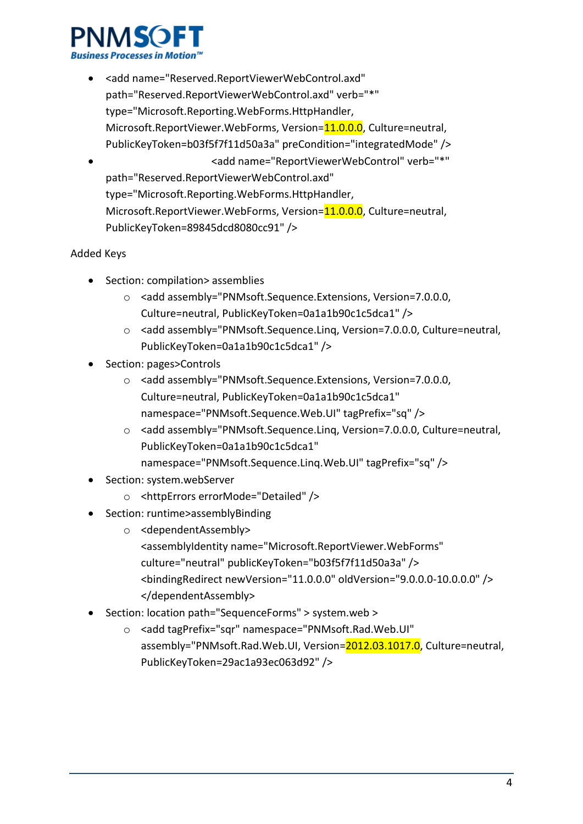

• <add name="Reserved.ReportViewerWebControl.axd" path="Reserved.ReportViewerWebControl.axd" verb="\*" type="Microsoft.Reporting.WebForms.HttpHandler, Microsoft.ReportViewer.WebForms, Version=11.0.0.0, Culture=neutral, PublicKeyToken=b03f5f7f11d50a3a" preCondition="integratedMode" /> • «add name="ReportViewerWebControl" verb="\*" path="Reserved.ReportViewerWebControl.axd" type="Microsoft.Reporting.WebForms.HttpHandler, Microsoft.ReportViewer.WebForms, Version=11.0.0.0, Culture=neutral,

PublicKeyToken=89845dcd8080cc91" />

### Added Keys

- Section: compilation> assemblies
	- o <add assembly="PNMsoft.Sequence.Extensions, Version=7.0.0.0, Culture=neutral, PublicKeyToken=0a1a1b90c1c5dca1" />
	- o <add assembly="PNMsoft.Sequence.Linq, Version=7.0.0.0, Culture=neutral, PublicKeyToken=0a1a1b90c1c5dca1" />
- Section: pages>Controls
	- o <add assembly="PNMsoft.Sequence.Extensions, Version=7.0.0.0, Culture=neutral, PublicKeyToken=0a1a1b90c1c5dca1" namespace="PNMsoft.Sequence.Web.UI" tagPrefix="sq" />
	- o <add assembly="PNMsoft.Sequence.Linq, Version=7.0.0.0, Culture=neutral, PublicKeyToken=0a1a1b90c1c5dca1" namespace="PNMsoft.Sequence.Linq.Web.UI" tagPrefix="sq" />
- Section: system.webServer
	- o <httpErrors errorMode="Detailed" />
- Section: runtime>assemblyBinding
	- o <dependentAssembly> <assemblyIdentity name="Microsoft.ReportViewer.WebForms" culture="neutral" publicKeyToken="b03f5f7f11d50a3a" /> <bindingRedirect newVersion="11.0.0.0" oldVersion="9.0.0.0-10.0.0.0" /> </dependentAssembly>
- Section: location path="SequenceForms" > system.web >
	- o <add tagPrefix="sqr" namespace="PNMsoft.Rad.Web.UI" assembly="PNMsoft.Rad.Web.UI, Version=2012.03.1017.0, Culture=neutral, PublicKeyToken=29ac1a93ec063d92" />